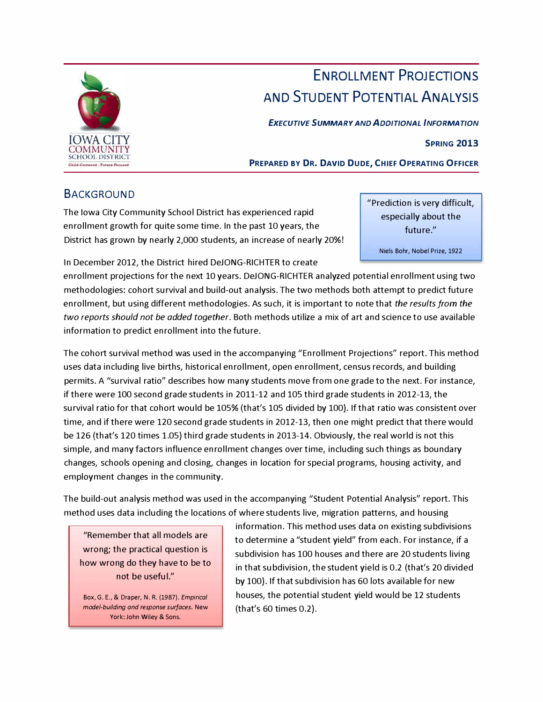

# ENROLLMENT PROJECTIONS AND STUDENT POTENTIAL ANALYSIS

**EXECUTIVE SUMMARY AND ADDITIONAL INFORMATION** 

#### **SPRING 2013**

**PREPARED BY DR. DAVID DUDE, CHIEF OPERATING OFFICER** 

## **BACKGROUND**

The Iowa City Community School District has experienced rapid especially about the enrollment growth for quite some time. In the past 10 years, the  $f_{\text{turb}}$  future." District has grown by nearly 2,000 students, an increase of nearly 20%!

"Prediction is very difficult,

Niels Bohr, Nobel Prize, 1922

In December 2012, the District hired DeJONG-RICHTER to create

enrollment projections for the next 10 years. DeJONG-RICHTER analyzed potential enrollment using two methodologies: cohort survival and build-out analysis. The two methods both attempt to predict future enrollment, but using different methodologies. As such, it is important to note that *the results from the two reports should not be added together.* Both methods utilize a mix of art and science to use available information to predict enrollment into the future.

The cohort survival method was used in the accompanying "Enrollment Projections" report. This method uses data including live births, historical enrollment, open enrollment, census records, and building permits. A "survival ratio" describes how many students move from one grade to the next. For instance, if there were 100 second grade students in 2011-12 and 105 third grade students in 2012-13, the survival ratio for that cohort would be 105% (that's 105 divided by 100). If that ratio was consistent over time, and if there were 120 second grade students in 2012-13, then one might predict that there would be 126 (that's 120 times 1.05) third grade students in 2013-14. Obviously, the real world is not this simple, and many factors influence enrollment changes over time, including such things as boundary changes, schools opening and closing, changes in location for special programs, housing activity, and employment changes in the community.

The build-out analysis method was used in the accompanying "Student Potential Analysis" report. This method uses data including the locations of where students live, migration patterns, and housing

*model-building and response surfaces.* New (that's 60 times 0.2). York: John Wiley & Sons.

information. This method uses data on existing subdivisions "Remember that all models are to determine a "student yield" from each. For instance, if a wrong; the practical question is wrong; the practical question is<br>how wrong do they have to be to subdivision the student vial is 0.2 (that's 20 divident hy do they have to be to in that subdivision, the student yield is 0.2 (that's 20 divided not be useful." by 100). If that subdivision has 60 lots available for new Box, G. E., & Draper, N. R. (1987). *Empirical* houses, the potential student yield would be 12 students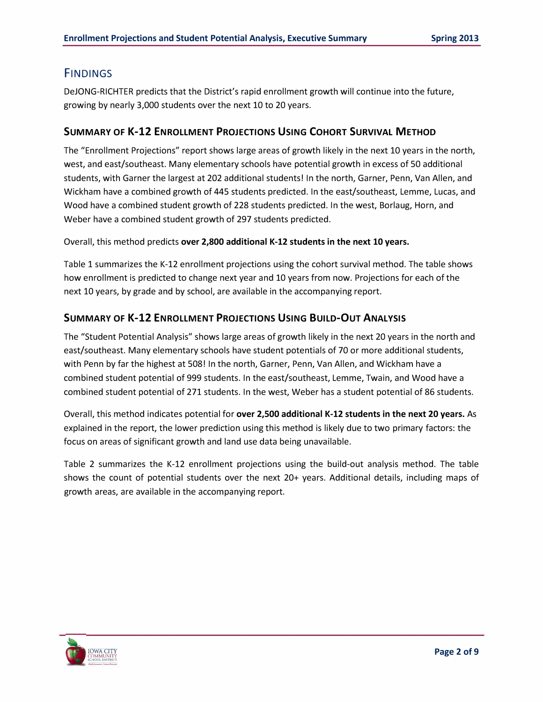## **FINDINGS**

DeJONG-RICHTER predicts that the District's rapid enrollment growth will continue into the future, growing by nearly 3,000 students over the next 10 to 20 years.

#### **SUMMARY OF K-12 ENROLLMENT PROJECTIONS USING COHORT SURVIVAL METHOD**

The "Enrollment Projections" report shows large areas of growth likely in the next 10 years in the north, west, and east/southeast. Many elementary schools have potential growth in excess of 50 additional students, with Garner the largest at 202 additional students! In the north, Garner, Penn, Van Allen, and Wickham have a combined growth of 445 students predicted. In the east/southeast, Lemme, Lucas, and Wood have a combined student growth of 228 students predicted. In the west, Borlaug, Horn, and Weber have a combined student growth of 297 students predicted.

Overall, this method predicts **over 2,800 additional K-12 students in the next 10 years.** 

Table 1 summarizes the K-12 enrollment projections using the cohort survival method. The table shows how enrollment is predicted to change next year and 10 years from now. Projections for each of the next 10 years, by grade and by school, are available in the accompanying report.

#### **SUMMARY OF K-12 ENROLLMENT PROJECTIONS USING BUILD-OUT ANALYSIS**

The "Student Potential Analysis" shows large areas of growth likely in the next 20 years in the north and east/southeast. Many elementary schools have student potentials of 70 or more additional students, with Penn by far the highest at 508! In the north, Garner, Penn, Van Allen, and Wickham have a combined student potential of 999 students. In the east/southeast, Lemme, Twain, and Wood have a combined student potential of 271 students. In the west, Weber has a student potential of 86 students.

Overall, this method indicates potential for **over 2,500 additional K-12 students in the next 20 years.** As explained in the report, the lower prediction using this method is likely due to two primary factors: the focus on areas of significant growth and land use data being unavailable.

Table 2 summarizes the K-12 enrollment projections using the build-out analysis method. The table shows the count of potential students over the next 20+ years. Additional details, including maps of growth areas, are available in the accompanying report.

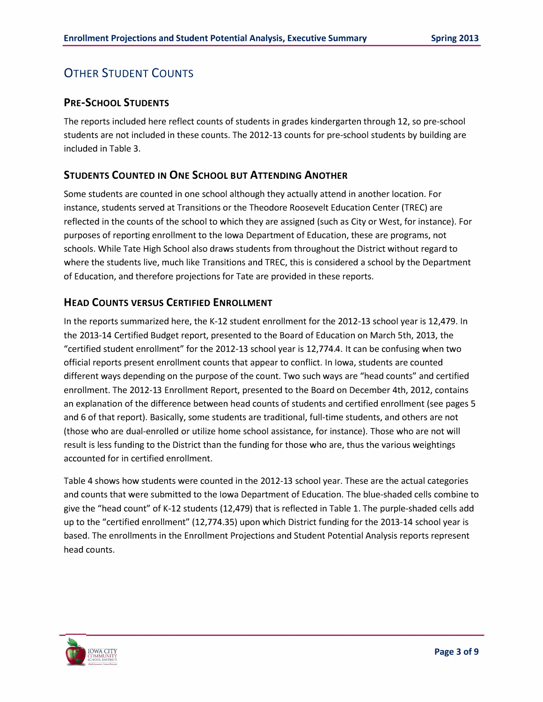# OTHER STUDENT COUNTS

#### **PRE-SCHOOL STUDENTS**

The reports included here reflect counts of students in grades kindergarten through 12, so pre-school students are not included in these counts. The 2012-13 counts for pre-school students by building are included in Table 3.

#### **STUDENTS COUNTED IN ONE SCHOOL BUT ATTENDING ANOTHER**

Some students are counted in one school although they actually attend in another location. For instance, students served at Transitions or the Theodore Roosevelt Education Center (TREC) are reflected in the counts of the school to which they are assigned (such as City or West, for instance). For purposes of reporting enrollment to the Iowa Department of Education, these are programs, not schools. While Tate High School also draws students from throughout the District without regard to where the students live, much like Transitions and TREC, this is considered a school by the Department of Education, and therefore projections for Tate are provided in these reports.

#### **HEAD COUNTS VERSUS CERTIFIED ENROLLMENT**

In the reports summarized here, the K-12 student enrollment for the 2012-13 school year is 12,479. In the 2013-14 Certified Budget report, presented to the Board of Education on March 5th, 2013, the "certified student enrollment" for the 2012-13 school year is 12,774.4. It can be confusing when two official reports present enrollment counts that appear to conflict. In Iowa, students are counted different ways depending on the purpose of the count. Two such ways are "head counts" and certified enrollment. The 2012-13 Enrollment Report, presented to the Board on December 4th, 2012, contains an explanation of the difference between head counts of students and certified enrollment (see pages 5 and 6 of that report). Basically, some students are traditional, full-time students, and others are not (those who are dual-enrolled or utilize home school assistance, for instance). Those who are not will result is less funding to the District than the funding for those who are, thus the various weightings accounted for in certified enrollment.

Table 4 shows how students were counted in the 2012-13 school year. These are the actual categories and counts that were submitted to the Iowa Department of Education. The blue-shaded cells combine to give the "head count" of K-12 students (12,479) that is reflected in Table 1. The purple-shaded cells add up to the "certified enrollment" ([12,774.35\)](https://12,774.35) upon which District funding for the 2013-14 school year is based. The enrollments in the Enrollment Projections and Student Potential Analysis reports represent head counts.

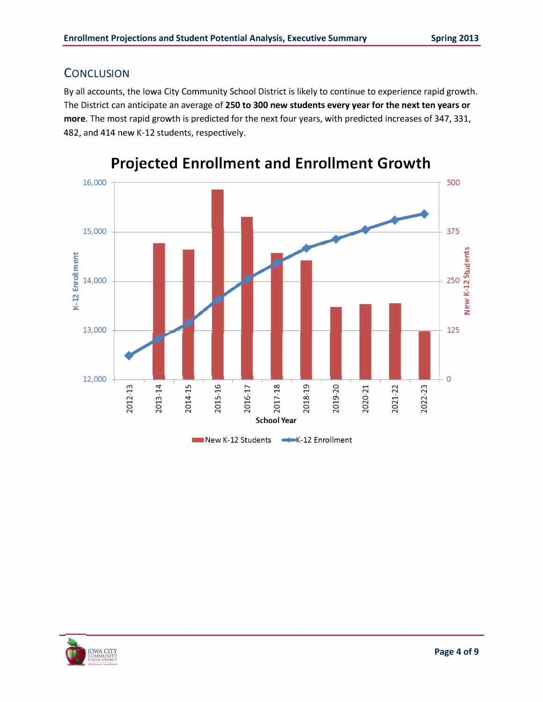## **CONCLUSION**

By all accounts, the Iowa City Community School District is likely to continue to experience rapid growth. The District can anticipate an average of **250 to 300 new students every year for the next ten years or more.** The most rapid growth is predicted for the next four years, with predicted increases of 347, 331, 482, and 414 new K-12 students, respectively.



# **Projected Enrollment and Enrollment Growth**

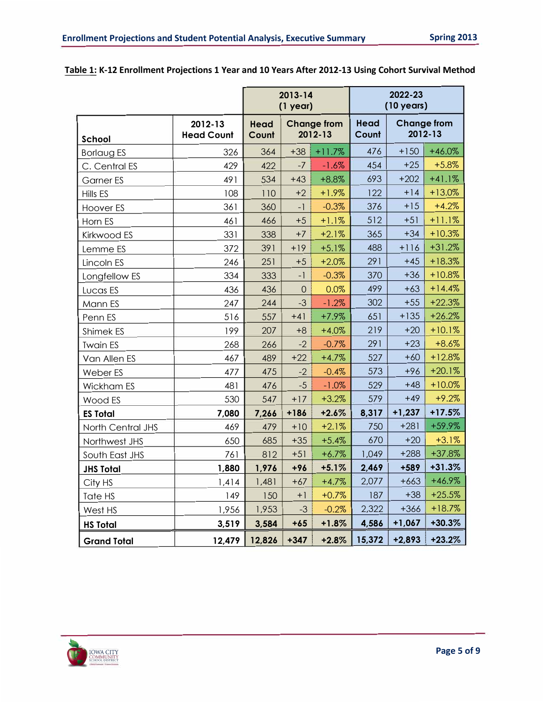|                    |                              | 2013-14<br>$(1$ year) |                               |          | 2022-23<br>$(10 \text{ years})$                |          |          |
|--------------------|------------------------------|-----------------------|-------------------------------|----------|------------------------------------------------|----------|----------|
| <b>School</b>      | 2012-13<br><b>Head Count</b> | <b>Head</b><br>Count  | <b>Change from</b><br>2012-13 |          | <b>Change from</b><br>Head<br>2012-13<br>Count |          |          |
| <b>Borlaug ES</b>  | 326                          | 364                   | $+38$                         | $+11.7%$ | 476                                            | $+150$   | $+46.0%$ |
| C. Central ES      | 429                          | 422                   | $-7$                          | $-1.6%$  | 454                                            | $+25$    | $+5.8%$  |
| <b>Garner ES</b>   | 491                          | 534                   | $+43$                         | $+8.8%$  | 693                                            | $+202$   | $+41.1%$ |
| Hills ES           | 108                          | 110                   | $+2$                          | $+1.9%$  | 122                                            | $+14$    | $+13.0%$ |
| Hoover ES          | 361                          | 360                   | $-1$                          | $-0.3%$  | 376                                            | $+15$    | $+4.2%$  |
| Horn ES            | 461                          | 466                   | $+5$                          | $+1.1%$  | 512                                            | $+51$    | $+11.1%$ |
| Kirkwood ES        | 331                          | 338                   | $+7$                          | $+2.1%$  | 365                                            | $+34$    | $+10.3%$ |
| Lemme ES           | 372                          | 391                   | $+19$                         | $+5.1%$  | 488                                            | $+116$   | $+31.2%$ |
| Lincoln ES         | 246                          | 251                   | $+5$                          | $+2.0%$  | 291                                            | $+45$    | $+18.3%$ |
| Longfellow ES      | 334                          | 333                   | $-1$                          | $-0.3%$  | 370                                            | $+36$    | $+10.8%$ |
| Lucas ES           | 436                          | 436                   | $\overline{0}$                | 0.0%     | 499                                            | $+63$    | $+14.4%$ |
| Mann ES            | 247                          | 244                   | $-3$                          | $-1.2%$  | 302                                            | $+55$    | $+22.3%$ |
| Penn ES            | 516                          | 557                   | $+41$                         | $+7.9%$  | 651                                            | $+135$   | $+26.2%$ |
| Shimek ES          | 199                          | 207                   | $+8$                          | $+4.0%$  | 219                                            | $+20$    | $+10.1%$ |
| <b>Twain ES</b>    | 268                          | 266                   | $-2$                          | $-0.7%$  | 291                                            | $+23$    | $+8.6%$  |
| Van Allen ES       | 467                          | 489                   | $+22$                         | $+4.7%$  | 527                                            | $+60$    | $+12.8%$ |
| Weber ES           | 477                          | 475                   | $-2$                          | $-0.4%$  | 573                                            | $+96$    | $+20.1%$ |
| Wickham ES         | 481                          | 476                   | $-5$                          | $-1.0%$  | 529                                            | $+48$    | $+10.0%$ |
| Wood ES            | 530                          | 547                   | $+17$                         | $+3.2%$  | 579                                            | $+49$    | $+9.2%$  |
| <b>ES Total</b>    | 7,080                        | 7,266                 | +186                          | $+2.6%$  | 8,317                                          | $+1,237$ | $+17.5%$ |
| North Central JHS  | 469                          | 479                   | $+10$                         | $+2.1%$  | 750                                            | $+281$   | +59.9%   |
| Northwest JHS      | 650                          | 685                   | $+35$                         | $+5.4%$  | 670                                            | $+20$    | $+3.1%$  |
| South East JHS     | 761                          | 812                   | $+51$                         | $+6.7%$  | 1,049                                          | $+288$   | $+37.8%$ |
| <b>JHS Total</b>   | 1,880                        | 1,976                 | $+96$                         | $+5.1%$  | 2,469                                          | +589     | $+31.3%$ |
| City HS            | 1,414                        | 1,481                 | $+67$                         | $+4.7%$  | 2,077                                          | $+663$   | +46.9%   |
| Tate HS            | 149                          | 150                   | $+1$                          | $+0.7%$  | 187                                            | $+38$    | $+25.5%$ |
| West HS            | 1,956                        | 1,953                 | $-3$                          | $-0.2%$  | 2,322                                          | $+366$   | $+18.7%$ |
| <b>HS Total</b>    | 3,519                        | 3,584                 | $+65$                         | $+1.8%$  | 4,586                                          | $+1,067$ | $+30.3%$ |
| <b>Grand Total</b> | 12,479                       | 12,826                | $+347$                        | $+2.8%$  | 15,372                                         | $+2,893$ | $+23.2%$ |

| Table 1: K-12 Enrollment Projections 1 Year and 10 Years After 2012-13 Using Cohort Survival Method |  |
|-----------------------------------------------------------------------------------------------------|--|
|-----------------------------------------------------------------------------------------------------|--|

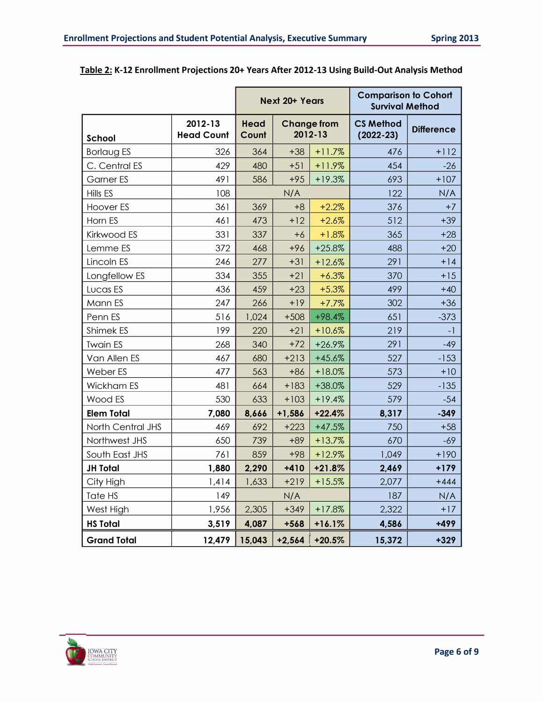|                     |                              | Next 20+ Years |                               |          | <b>Comparison to Cohort</b><br><b>Survival Method</b> |                   |  |
|---------------------|------------------------------|----------------|-------------------------------|----------|-------------------------------------------------------|-------------------|--|
| <b>School</b>       | 2012-13<br><b>Head Count</b> | Head<br>Count  | <b>Change from</b><br>2012-13 |          | <b>CS Method</b><br>$(2022 - 23)$                     | <b>Difference</b> |  |
| <b>Borlaug ES</b>   | 326                          | 364            | $+38$                         | $+11.7%$ | 476                                                   | $+112$            |  |
| C. Central ES       | 429                          | 480            | $+51$                         | $+11.9%$ | 454                                                   | $-26$             |  |
| <b>Garner ES</b>    | 491                          | 586            | $+95$                         | $+19.3%$ | 693                                                   | $+107$            |  |
| Hills ES            | 108                          |                | N/A                           |          | 122                                                   | N/A               |  |
| Hoover ES           | 361                          | 369            | $+8$                          | $+2.2%$  | 376                                                   | $+7$              |  |
| Horn ES             | 461                          | 473            | $+12$                         | $+2.6%$  | 512                                                   | $+39$             |  |
| Kirkwood ES         | 331                          | 337            | $+6$                          | $+1.8%$  | 365                                                   | $+28$             |  |
| Lemme <sub>ES</sub> | 372                          | 468            | $+96$                         | $+25.8%$ | 488                                                   | $+20$             |  |
| Lincoln ES          | 246                          | 277            | $+31$                         | $+12.6%$ | 291                                                   | $+14$             |  |
| Longfellow ES       | 334                          | 355            | $+21$                         | $+6.3%$  | 370                                                   | $+15$             |  |
| Lucas ES            | 436                          | 459            | $+23$                         | $+5.3%$  | 499                                                   | $+40$             |  |
| Mann ES             | 247                          | 266            | $+19$                         | $+7.7%$  | 302                                                   | $+36$             |  |
| Penn ES             | 516                          | 1,024          | $+508$                        | $+98.4%$ | 651                                                   | $-373$            |  |
| Shimek ES           | 199                          | 220            | $+21$                         | $+10.6%$ | 219                                                   | $-1$              |  |
| <b>Twain ES</b>     | 268                          | 340            | $+72$                         | $+26.9%$ | 291                                                   | $-49$             |  |
| Van Allen ES        | 467                          | 680            | $+213$                        | $+45.6%$ | 527                                                   | $-153$            |  |
| Weber ES            | 477                          | 563            | $+86$                         | $+18.0%$ | 573                                                   | $+10$             |  |
| <b>Wickham ES</b>   | 481                          | 664            | $+183$                        | $+38.0%$ | 529                                                   | $-135$            |  |
| Wood ES             | 530                          | 633            | $+103$                        | $+19.4%$ | 579                                                   | $-54$             |  |
| <b>Elem Total</b>   | 7,080                        | 8,666          | $+1,586$                      | $+22.4%$ | 8,317                                                 | $-349$            |  |
| North Central JHS   | 469                          | 692            | $+223$                        | $+47.5%$ | 750                                                   | $+58$             |  |
| Northwest JHS       | 650                          | 739            | $+89$                         | $+13.7%$ | 670                                                   | $-69$             |  |
| South East JHS      | 761                          | 859            | $+98$                         | $+12.9%$ | 1,049                                                 | $+190$            |  |
| <b>JH Total</b>     | 1,880                        | 2,290          | $+410$                        | $+21.8%$ | 2,469                                                 | $+179$            |  |
| City High           | 1,414                        | 1,633          | $+219$                        | $+15.5%$ | 2,077                                                 | +444              |  |
| Tate HS             | 149                          |                | N/A                           |          | 187                                                   | N/A               |  |
| West High           | 1,956                        | 2,305          | $+349$                        | $+17.8%$ | 2,322                                                 | $+17$             |  |
| <b>HS Total</b>     | 3,519                        | 4,087          | $+568$                        | $+16.1%$ | 4,586                                                 | $+499$            |  |
| <b>Grand Total</b>  | 12,479                       | 15,043         | $+2,564$                      | $+20.5%$ | 15,372                                                | $+329$            |  |

|  | Table 2: K-12 Enrollment Projections 20+ Years After 2012-13 Using Build-Out Analysis Method |
|--|----------------------------------------------------------------------------------------------|
|--|----------------------------------------------------------------------------------------------|

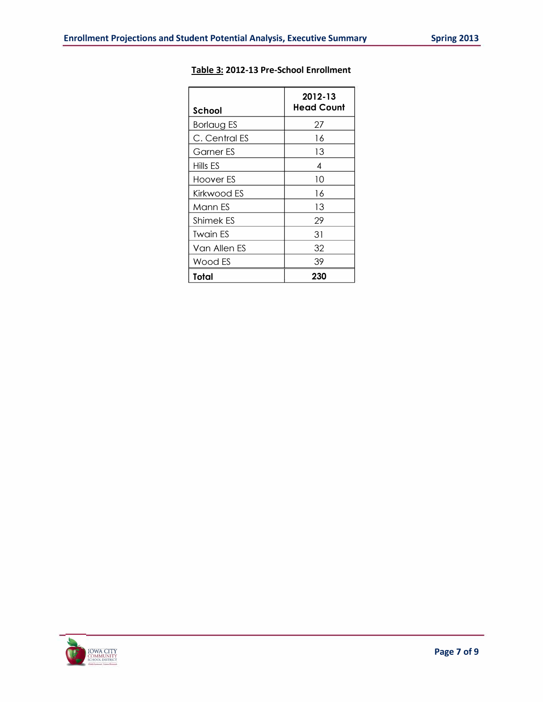| School            | 2012-13<br><b>Head Count</b> |
|-------------------|------------------------------|
| <b>Borlaug ES</b> | 27                           |
| C. Central ES     | 16                           |
| Garner ES         | 13                           |
| Hills ES          | 4                            |
| Hoover ES         | 10                           |
| Kirkwood ES       | 16                           |
| Mann ES           | 13                           |
| Shimek ES         | 29                           |
| <b>Twain ES</b>   | 31                           |
| Van Allen ES      | 32                           |
| Wood ES           | 39                           |
| Total             | 230                          |

#### **Table 3: 2012-13 Pre-School Enrollment**

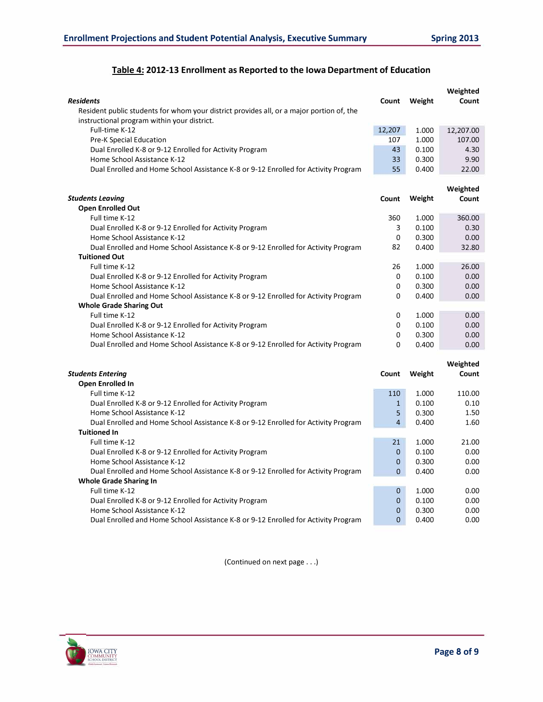**Weighted** 

| <b>Residents</b>                                                                         | Count          | Weight | Count     |
|------------------------------------------------------------------------------------------|----------------|--------|-----------|
| Resident public students for whom your district provides all, or a major portion of, the |                |        |           |
| instructional program within your district.                                              |                |        |           |
| Full-time K-12                                                                           | 12,207         | 1.000  | 12,207.00 |
| Pre-K Special Education                                                                  | 107            | 1.000  | 107.00    |
| Dual Enrolled K-8 or 9-12 Enrolled for Activity Program                                  | 43             | 0.100  | 4.30      |
| Home School Assistance K-12                                                              | 33             | 0.300  | 9.90      |
| Dual Enrolled and Home School Assistance K-8 or 9-12 Enrolled for Activity Program       | 55             | 0.400  | 22.00     |
|                                                                                          |                |        | Weighted  |
| <b>Students Leaving</b>                                                                  | Count          | Weight | Count     |
| <b>Open Enrolled Out</b>                                                                 |                |        |           |
| Full time K-12                                                                           | 360            | 1.000  | 360.00    |
| Dual Enrolled K-8 or 9-12 Enrolled for Activity Program                                  | 3              | 0.100  | 0.30      |
| Home School Assistance K-12                                                              | 0              | 0.300  | 0.00      |
| Dual Enrolled and Home School Assistance K-8 or 9-12 Enrolled for Activity Program       | 82             | 0.400  | 32.80     |
| <b>Tuitioned Out</b>                                                                     |                |        |           |
| Full time K-12                                                                           | 26             | 1.000  | 26.00     |
| Dual Enrolled K-8 or 9-12 Enrolled for Activity Program                                  | 0              | 0.100  | 0.00      |
| Home School Assistance K-12                                                              | 0              | 0.300  | 0.00      |
| Dual Enrolled and Home School Assistance K-8 or 9-12 Enrolled for Activity Program       | 0              | 0.400  | 0.00      |
| <b>Whole Grade Sharing Out</b>                                                           |                |        |           |
| Full time K-12                                                                           | 0              | 1.000  | 0.00      |
| Dual Enrolled K-8 or 9-12 Enrolled for Activity Program                                  | 0              | 0.100  | 0.00      |
| Home School Assistance K-12                                                              | 0              | 0.300  | 0.00      |
| Dual Enrolled and Home School Assistance K-8 or 9-12 Enrolled for Activity Program       | 0              | 0.400  | 0.00      |
|                                                                                          |                |        | Weighted  |
| <b>Students Entering</b>                                                                 | Count          | Weight | Count     |
| Open Enrolled In                                                                         |                |        |           |
| Full time K-12                                                                           | 110            | 1.000  | 110.00    |
| Dual Enrolled K-8 or 9-12 Enrolled for Activity Program                                  | $\mathbf{1}$   | 0.100  | 0.10      |
| Home School Assistance K-12                                                              | 5              | 0.300  | 1.50      |
| Dual Enrolled and Home School Assistance K-8 or 9-12 Enrolled for Activity Program       | $\overline{4}$ | 0.400  | 1.60      |
| <b>Tuitioned In</b>                                                                      |                |        |           |
| Full time K-12                                                                           | 21             | 1.000  | 21.00     |
| Dual Enrolled K-8 or 9-12 Enrolled for Activity Program                                  | $\mathbf{0}$   | 0.100  | 0.00      |
| Home School Assistance K-12                                                              | $\mathbf{0}$   | 0.300  | 0.00      |
| Dual Enrolled and Home School Assistance K-8 or 9-12 Enrolled for Activity Program       | $\Omega$       | 0.400  | 0.00      |
| <b>Whole Grade Sharing In</b>                                                            |                |        |           |
| Full time K-12                                                                           | $\mathbf{0}$   | 1.000  | 0.00      |
| Dual Enrolled K-8 or 9-12 Enrolled for Activity Program                                  | $\Omega$       | 0.100  | 0.00      |

#### **Table 4: 2012-13 Enrollment as Reported to the Iowa Department of Education**

(Continued on next page ... )

Home School Assistance K-12 **0 0.300 0.00** 0.300 0.00 Dual Enrolled and Home School Assistance K-8 or 9-12 Enrolled for Activity Program 0 0 0.400 0.00